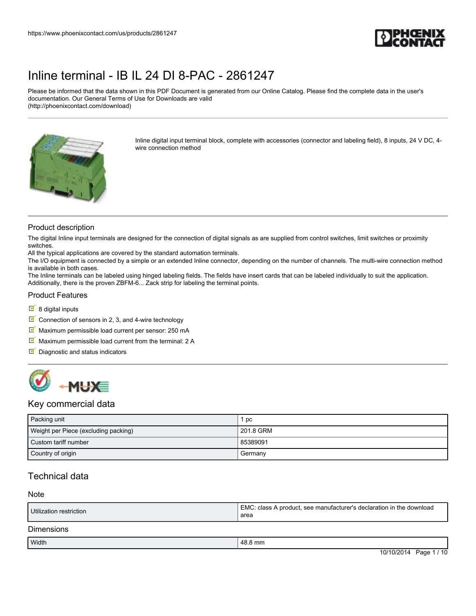

Please be informed that the data shown in this PDF Document is generated from our Online Catalog. Please find the complete data in the user's documentation. Our General Terms of Use for Downloads are valid (http://phoenixcontact.com/download)



Inline digital input terminal block, complete with accessories (connector and labeling field), 8 inputs, 24 V DC, 4 wire connection method

#### Product description

The digital Inline input terminals are designed for the connection of digital signals as are supplied from control switches, limit switches or proximity switches.

All the typical applications are covered by the standard automation terminals.

The I/O equipment is connected by a simple or an extended Inline connector, depending on the number of channels. The multi-wire connection method is available in both cases.

The Inline terminals can be labeled using hinged labeling fields. The fields have insert cards that can be labeled individually to suit the application. Additionally, there is the proven ZBFM-6... Zack strip for labeling the terminal points.

#### Product Features

- $8$  digital inputs
- Connection of sensors in 2, 3, and 4-wire technology
- $M$  Maximum permissible load current per sensor: 250 mA
- $M$  Maximum permissible load current from the terminal: 2 A
- $\nabla$  Diagnostic and status indicators



#### Key commercial data

| Packing unit                         | рc        |
|--------------------------------------|-----------|
| Weight per Piece (excluding packing) | 201.8 GRM |
| Custom tariff number                 | 85389091  |
| Country of origin                    | Germany   |

### Technical data

#### Note

| Utilization restriction | EMC: class A product, see manufacturer's declaration in the download<br>area |
|-------------------------|------------------------------------------------------------------------------|
| Dimonojano              |                                                                              |

#### Dimensions

| Width | 48<br>48.8 mm                                      |
|-------|----------------------------------------------------|
|       | $\overline{1}$<br>Page<br>.<br>TU/ZU<br>، س<br>ט ו |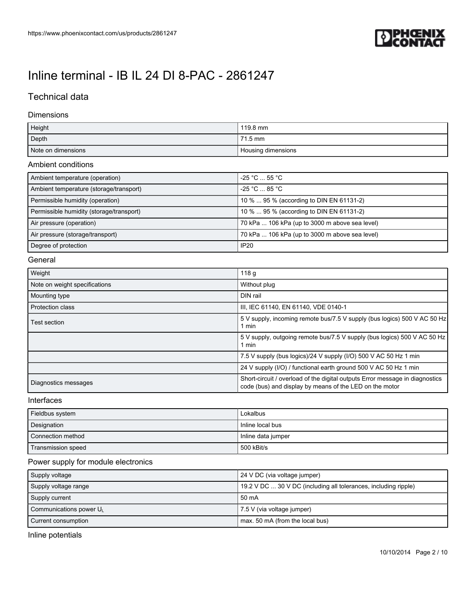

# Technical data

#### Dimensions

| Height             | $119.8 \text{ mm}$ |
|--------------------|--------------------|
| Depth              | 71.5 mm            |
| Note on dimensions | Housing dimensions |

#### Ambient conditions

| Ambient temperature (operation)          | $-25 °C$ 55 °C                                 |
|------------------------------------------|------------------------------------------------|
| Ambient temperature (storage/transport)  | $-25 °C$ 85 °C                                 |
| Permissible humidity (operation)         | 10 %  95 % (according to DIN EN 61131-2)       |
| Permissible humidity (storage/transport) | 10 %  95 % (according to DIN EN 61131-2)       |
| Air pressure (operation)                 | 70 kPa  106 kPa (up to 3000 m above sea level) |
| Air pressure (storage/transport)         | 70 kPa  106 kPa (up to 3000 m above sea level) |
| Degree of protection                     | IP20                                           |

#### General

| Weight                        | 118 <sub>g</sub>                                                                                                                        |
|-------------------------------|-----------------------------------------------------------------------------------------------------------------------------------------|
| Note on weight specifications | Without plug                                                                                                                            |
| Mounting type                 | DIN rail                                                                                                                                |
| <b>Protection class</b>       | III, IEC 61140, EN 61140, VDE 0140-1                                                                                                    |
| Test section                  | 5 V supply, incoming remote bus/7.5 V supply (bus logics) 500 V AC 50 Hz<br>1 min                                                       |
|                               | 5 V supply, outgoing remote bus/7.5 V supply (bus logics) 500 V AC 50 Hz<br>1 min                                                       |
|                               | 7.5 V supply (bus logics)/24 V supply (I/O) 500 V AC 50 Hz 1 min                                                                        |
|                               | 24 V supply (I/O) / functional earth ground 500 V AC 50 Hz 1 min                                                                        |
| Diagnostics messages          | Short-circuit / overload of the digital outputs Error message in diagnostics<br>code (bus) and display by means of the LED on the motor |

#### Interfaces

| Fieldbus system    | Lokalbus           |
|--------------------|--------------------|
| Designation        | Inline local bus   |
| Connection method  | Inline data jumper |
| Transmission speed | 500 kBit/s         |

### Power supply for module electronics

| Supply voltage         | 24 V DC (via voltage jumper)                                    |
|------------------------|-----------------------------------------------------------------|
| Supply voltage range   | 19.2 V DC  30 V DC (including all tolerances, including ripple) |
| Supply current         | 50 mA                                                           |
| Communications power U | 7.5 V (via voltage jumper)                                      |
| Current consumption    | max. 50 mA (from the local bus)                                 |

Inline potentials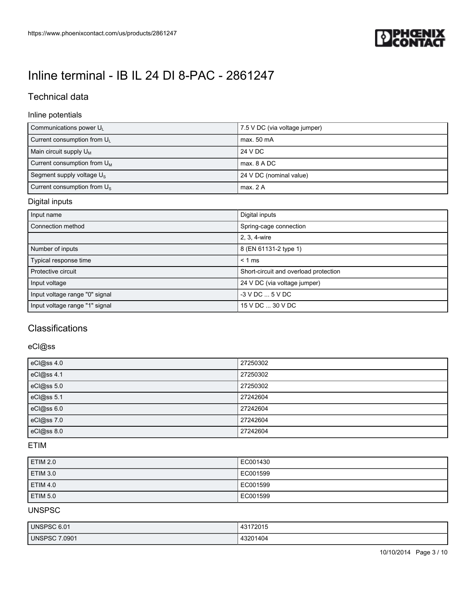

# Technical data

### Inline potentials

| Communications power U                  | 7.5 V DC (via voltage jumper) |
|-----------------------------------------|-------------------------------|
| Current consumption from U <sub>1</sub> | max. 50 mA                    |
| Main circuit supply $U_M$               | 24 V DC                       |
| Current consumption from $U_M$          | max, 8 A DC                   |
| Segment supply voltage $U_{\rm s}$      | 24 V DC (nominal value)       |
| Current consumption from $U_s$          | max. 2 A                      |

### Digital inputs

| Input name                     | Digital inputs                        |
|--------------------------------|---------------------------------------|
| Connection method              | Spring-cage connection                |
|                                | 2, 3, 4-wire                          |
| Number of inputs               | 8 (EN 61131-2 type 1)                 |
| Typical response time          | $< 1$ ms                              |
| Protective circuit             | Short-circuit and overload protection |
| Input voltage                  | 24 V DC (via voltage jumper)          |
| Input voltage range "0" signal | $-3$ V DC $$ 5 V DC                   |
| Input voltage range "1" signal | 15 V DC  30 V DC                      |

# **Classifications**

### eCl@ss

| eCl@ss 4.0 | 27250302 |
|------------|----------|
| eCl@ss 4.1 | 27250302 |
| eCl@ss 5.0 | 27250302 |
| eCl@ss 5.1 | 27242604 |
| eCl@ss 6.0 | 27242604 |
| eCl@ss 7.0 | 27242604 |
| eCl@ss 8.0 | 27242604 |

### ETIM

| ETIM 2.0        | EC001430 |
|-----------------|----------|
| ETIM 3.0        | EC001599 |
| <b>ETIM 4.0</b> | EC001599 |
| ETIM 5.0        | EC001599 |

## UNSPSC

| UNSPSC 6.01   | 43172015 |
|---------------|----------|
| UNSPSC 7.0901 | 43201404 |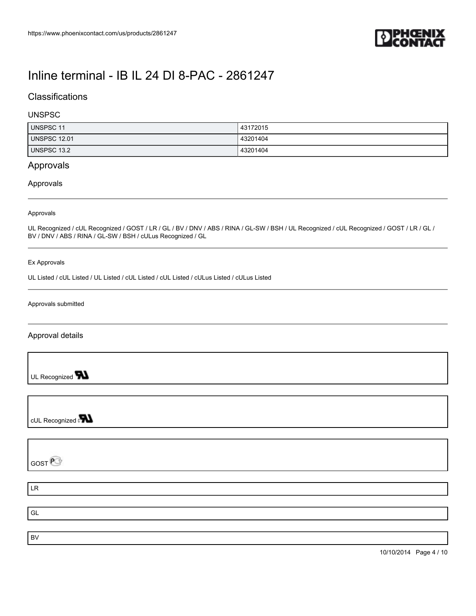

## **Classifications**

#### UNSPSC

| <b>UNSPSC 11</b>    | 43172015 |
|---------------------|----------|
| <b>UNSPSC 12.01</b> | 43201404 |
| UNSPSC 13.2         | 43201404 |

## Approvals

#### Approvals

#### Approvals

UL Recognized / cUL Recognized / GOST / LR / GL / BV / DNV / ABS / RINA / GL-SW / BSH / UL Recognized / cUL Recognized / GOST / LR / GL / BV / DNV / ABS / RINA / GL-SW / BSH / cULus Recognized / GL

#### Ex Approvals

UL Listed / cUL Listed / UL Listed / cUL Listed / cUL Listed / cULus Listed / cULus Listed

#### Approvals submitted

#### Approval details

UL Recognized **W** 

cUL Recognized **PN** 

GOST<sup>P</sup>

LR

GL BV

10/10/2014 Page 4 / 10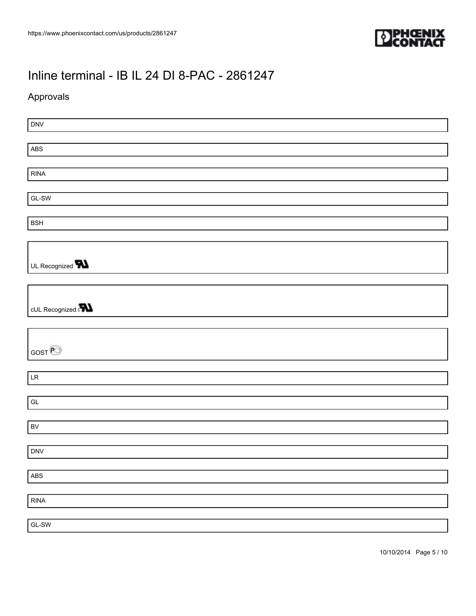

## Approvals

DNV ABS RINA GL-SW BSH UL Recognized **W** cUL Recognized **PN** GOST<sup>@</sup> LR GL BV DNV ABS RINA GL-SW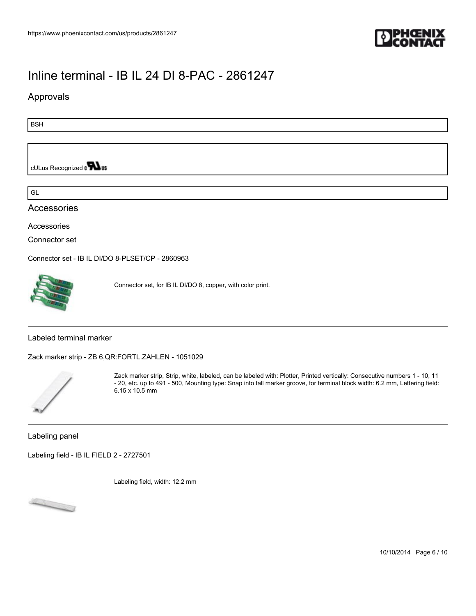

### Approvals

BSH

cULus Recognized on **Was** 

GL

### Accessories

Accessories

Connector set

[Connector set - IB IL DI/DO 8-PLSET/CP - 2860963](https://www.phoenixcontact.com/us/products/2860963)



Connector set, for IB IL DI/DO 8, copper, with color print.

Labeled terminal marker

[Zack marker strip - ZB 6,QR:FORTL.ZAHLEN - 1051029](https://www.phoenixcontact.com/us/products/1051029)



Zack marker strip, Strip, white, labeled, can be labeled with: Plotter, Printed vertically: Consecutive numbers 1 - 10, 11 - 20, etc. up to 491 - 500, Mounting type: Snap into tall marker groove, for terminal block width: 6.2 mm, Lettering field: 6.15 x 10.5 mm

Labeling panel

[Labeling field - IB IL FIELD 2 - 2727501](https://www.phoenixcontact.com/us/products/2727501)

Labeling field, width: 12.2 mm



10/10/2014 Page 6 / 10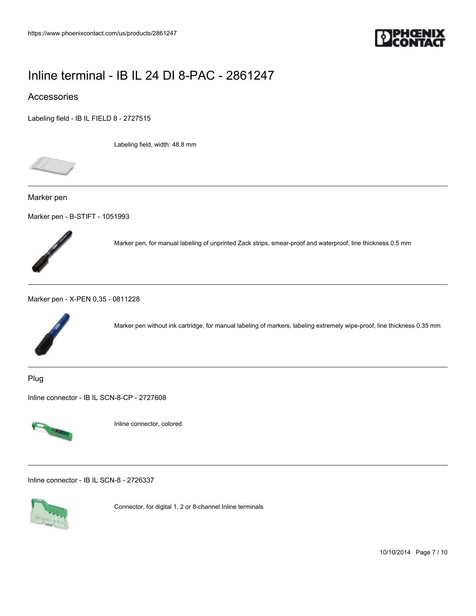

### Accessories

[Labeling field - IB IL FIELD 8 - 2727515](https://www.phoenixcontact.com/us/products/2727515)

Labeling field, width: 48.8 mm



Marker pen

[Marker pen - B-STIFT - 1051993](https://www.phoenixcontact.com/us/products/1051993)



Marker pen, for manual labeling of unprinted Zack strips, smear-proof and waterproof, line thickness 0.5 mm

[Marker pen - X-PEN 0,35 - 0811228](https://www.phoenixcontact.com/us/products/0811228)



Marker pen without ink cartridge, for manual labeling of markers, labeling extremely wipe-proof, line thickness 0.35 mm

Plug

[Inline connector - IB IL SCN-8-CP - 2727608](https://www.phoenixcontact.com/us/products/2727608)



Inline connector, colored

[Inline connector - IB IL SCN-8 - 2726337](https://www.phoenixcontact.com/us/products/2726337)



Connector, for digital 1, 2 or 8-channel Inline terminals

10/10/2014 Page 7 / 10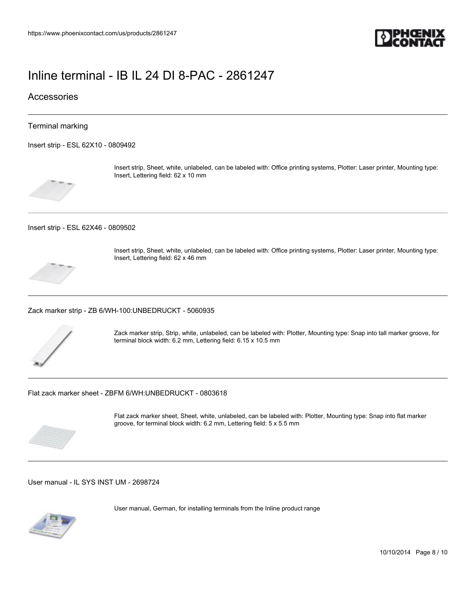

### **Accessories**

#### Terminal marking

[Insert strip - ESL 62X10 - 0809492](https://www.phoenixcontact.com/us/products/0809492)



Insert strip, Sheet, white, unlabeled, can be labeled with: Office printing systems, Plotter: Laser printer, Mounting type: Insert, Lettering field: 62 x 10 mm

[Insert strip - ESL 62X46 - 0809502](https://www.phoenixcontact.com/us/products/0809502)



Insert strip, Sheet, white, unlabeled, can be labeled with: Office printing systems, Plotter: Laser printer, Mounting type: Insert, Lettering field: 62 x 46 mm

[Zack marker strip - ZB 6/WH-100:UNBEDRUCKT - 5060935](https://www.phoenixcontact.com/us/products/5060935)



Zack marker strip, Strip, white, unlabeled, can be labeled with: Plotter, Mounting type: Snap into tall marker groove, for terminal block width: 6.2 mm, Lettering field: 6.15 x 10.5 mm

[Flat zack marker sheet - ZBFM 6/WH:UNBEDRUCKT - 0803618](https://www.phoenixcontact.com/us/products/0803618)



Flat zack marker sheet, Sheet, white, unlabeled, can be labeled with: Plotter, Mounting type: Snap into flat marker groove, for terminal block width: 6.2 mm, Lettering field: 5 x 5.5 mm

[User manual - IL SYS INST UM - 2698724](https://www.phoenixcontact.com/us/products/2698724)



User manual, German, for installing terminals from the Inline product range

10/10/2014 Page 8 / 10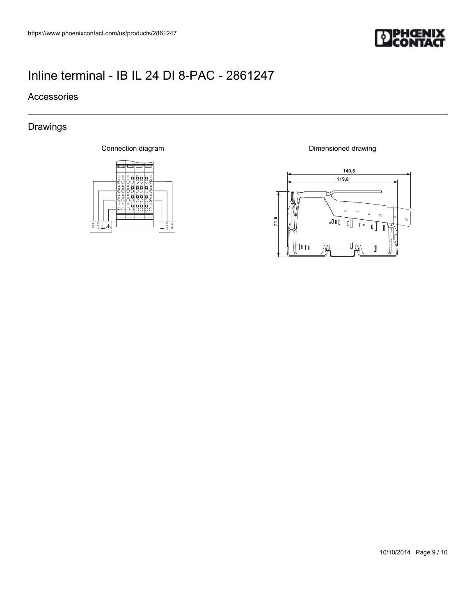

## Accessories

# Drawings

Connection diagram



Dimensioned drawing



10/10/2014 Page 9 / 10